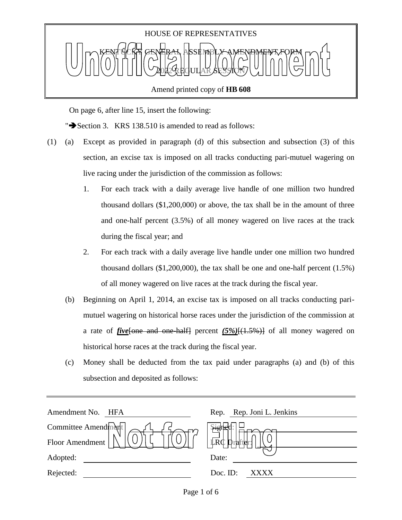

Amend printed copy of **HB 608**

On page 6, after line 15, insert the following:

" $\blacktriangleright$  Section 3. KRS 138.510 is amended to read as follows:

- (1) (a) Except as provided in paragraph (d) of this subsection and subsection (3) of this section, an excise tax is imposed on all tracks conducting pari-mutuel wagering on live racing under the jurisdiction of the commission as follows:
	- 1. For each track with a daily average live handle of one million two hundred thousand dollars (\$1,200,000) or above, the tax shall be in the amount of three and one-half percent (3.5%) of all money wagered on live races at the track during the fiscal year; and
	- 2. For each track with a daily average live handle under one million two hundred thousand dollars (\$1,200,000), the tax shall be one and one-half percent (1.5%) of all money wagered on live races at the track during the fiscal year.
	- (b) Beginning on April 1, 2014, an excise tax is imposed on all tracks conducting parimutuel wagering on historical horse races under the jurisdiction of the commission at a rate of *five*[one and one-half] percent *(5%)*[(1.5%)] of all money wagered on historical horse races at the track during the fiscal year.
	- (c) Money shall be deducted from the tax paid under paragraphs (a) and (b) of this subsection and deposited as follows:

| Amendment No.<br>HFA | Rep. Rep. Joni L. Jenkins         |
|----------------------|-----------------------------------|
| Committee Amendment  | $\frac{1}{2}$                     |
| Floor Amendment      | $\mathbb{L}R\mathbb{C}$<br>rafter |
| Adopted:             | Date:                             |
| Rejected:            | Doc. ID:<br>XXXX                  |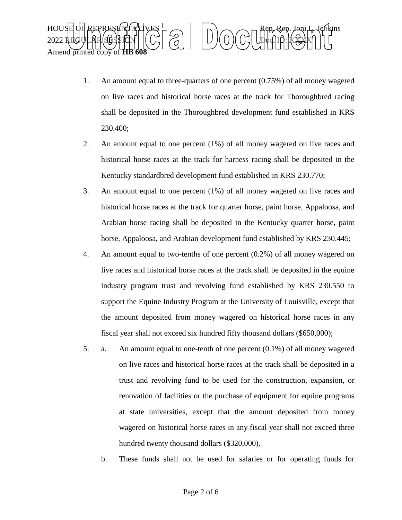

- 1. An amount equal to three-quarters of one percent (0.75%) of all money wagered on live races and historical horse races at the track for Thoroughbred racing shall be deposited in the Thoroughbred development fund established in KRS 230.400;
- 2. An amount equal to one percent (1%) of all money wagered on live races and historical horse races at the track for harness racing shall be deposited in the Kentucky standardbred development fund established in KRS 230.770;
- 3. An amount equal to one percent (1%) of all money wagered on live races and historical horse races at the track for quarter horse, paint horse, Appaloosa, and Arabian horse racing shall be deposited in the Kentucky quarter horse, paint horse, Appaloosa, and Arabian development fund established by KRS 230.445;
- 4. An amount equal to two-tenths of one percent (0.2%) of all money wagered on live races and historical horse races at the track shall be deposited in the equine industry program trust and revolving fund established by KRS 230.550 to support the Equine Industry Program at the University of Louisville, except that the amount deposited from money wagered on historical horse races in any fiscal year shall not exceed six hundred fifty thousand dollars (\$650,000);
- 5. a. An amount equal to one-tenth of one percent (0.1%) of all money wagered on live races and historical horse races at the track shall be deposited in a trust and revolving fund to be used for the construction, expansion, or renovation of facilities or the purchase of equipment for equine programs at state universities, except that the amount deposited from money wagered on historical horse races in any fiscal year shall not exceed three hundred twenty thousand dollars (\$320,000).
	- b. These funds shall not be used for salaries or for operating funds for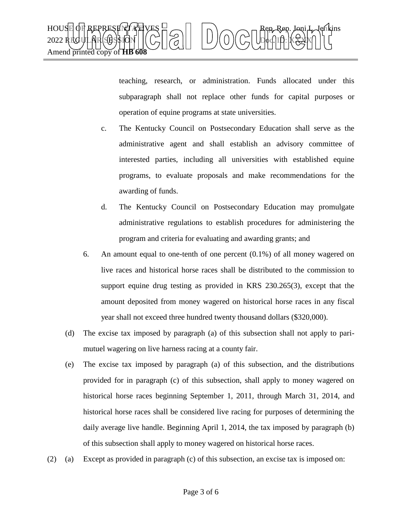

teaching, research, or administration. Funds allocated under this subparagraph shall not replace other funds for capital purposes or operation of equine programs at state universities.

- c. The Kentucky Council on Postsecondary Education shall serve as the administrative agent and shall establish an advisory committee of interested parties, including all universities with established equine programs, to evaluate proposals and make recommendations for the awarding of funds.
- d. The Kentucky Council on Postsecondary Education may promulgate administrative regulations to establish procedures for administering the program and criteria for evaluating and awarding grants; and
- 6. An amount equal to one-tenth of one percent (0.1%) of all money wagered on live races and historical horse races shall be distributed to the commission to support equine drug testing as provided in KRS 230.265(3), except that the amount deposited from money wagered on historical horse races in any fiscal year shall not exceed three hundred twenty thousand dollars (\$320,000).
- (d) The excise tax imposed by paragraph (a) of this subsection shall not apply to parimutuel wagering on live harness racing at a county fair.
- (e) The excise tax imposed by paragraph (a) of this subsection, and the distributions provided for in paragraph (c) of this subsection, shall apply to money wagered on historical horse races beginning September 1, 2011, through March 31, 2014, and historical horse races shall be considered live racing for purposes of determining the daily average live handle. Beginning April 1, 2014, the tax imposed by paragraph (b) of this subsection shall apply to money wagered on historical horse races.
- (2) (a) Except as provided in paragraph (c) of this subsection, an excise tax is imposed on: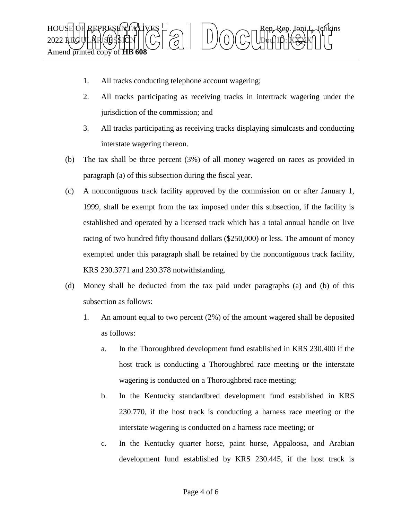

- 1. All tracks conducting telephone account wagering;
- 2. All tracks participating as receiving tracks in intertrack wagering under the jurisdiction of the commission; and
- 3. All tracks participating as receiving tracks displaying simulcasts and conducting interstate wagering thereon.
- (b) The tax shall be three percent (3%) of all money wagered on races as provided in paragraph (a) of this subsection during the fiscal year.
- (c) A noncontiguous track facility approved by the commission on or after January 1, 1999, shall be exempt from the tax imposed under this subsection, if the facility is established and operated by a licensed track which has a total annual handle on live racing of two hundred fifty thousand dollars (\$250,000) or less. The amount of money exempted under this paragraph shall be retained by the noncontiguous track facility, KRS 230.3771 and 230.378 notwithstanding.
- (d) Money shall be deducted from the tax paid under paragraphs (a) and (b) of this subsection as follows:
	- 1. An amount equal to two percent (2%) of the amount wagered shall be deposited as follows:
		- a. In the Thoroughbred development fund established in KRS 230.400 if the host track is conducting a Thoroughbred race meeting or the interstate wagering is conducted on a Thoroughbred race meeting;
		- b. In the Kentucky standardbred development fund established in KRS 230.770, if the host track is conducting a harness race meeting or the interstate wagering is conducted on a harness race meeting; or
		- c. In the Kentucky quarter horse, paint horse, Appaloosa, and Arabian development fund established by KRS 230.445, if the host track is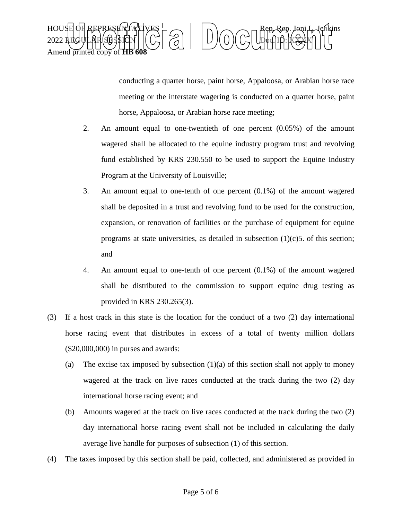

conducting a quarter horse, paint horse, Appaloosa, or Arabian horse race meeting or the interstate wagering is conducted on a quarter horse, paint horse, Appaloosa, or Arabian horse race meeting;

- 2. An amount equal to one-twentieth of one percent (0.05%) of the amount wagered shall be allocated to the equine industry program trust and revolving fund established by KRS 230.550 to be used to support the Equine Industry Program at the University of Louisville;
- 3. An amount equal to one-tenth of one percent (0.1%) of the amount wagered shall be deposited in a trust and revolving fund to be used for the construction, expansion, or renovation of facilities or the purchase of equipment for equine programs at state universities, as detailed in subsection  $(1)(c)$ 5. of this section; and
- 4. An amount equal to one-tenth of one percent (0.1%) of the amount wagered shall be distributed to the commission to support equine drug testing as provided in KRS 230.265(3).
- (3) If a host track in this state is the location for the conduct of a two (2) day international horse racing event that distributes in excess of a total of twenty million dollars (\$20,000,000) in purses and awards:
	- (a) The excise tax imposed by subsection  $(1)(a)$  of this section shall not apply to money wagered at the track on live races conducted at the track during the two (2) day international horse racing event; and
	- (b) Amounts wagered at the track on live races conducted at the track during the two (2) day international horse racing event shall not be included in calculating the daily average live handle for purposes of subsection (1) of this section.
- (4) The taxes imposed by this section shall be paid, collected, and administered as provided in